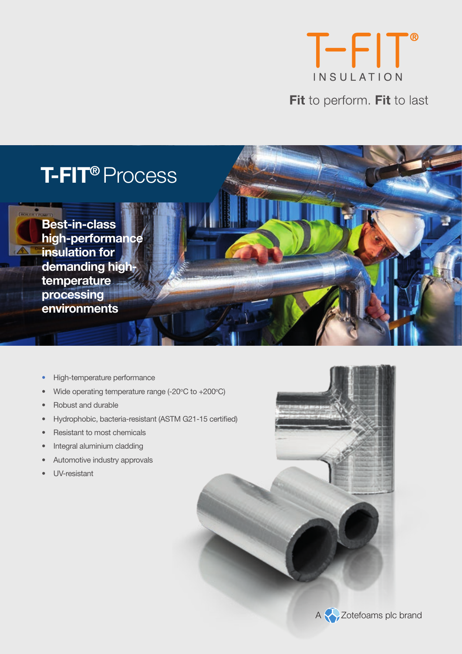

Fit to perform. Fit to last

# **T-FIT®** Process

[**BORTER** FLOWER] **Best-in-class high-performance insulation for demanding hightemperature processing environments**

- High-temperature performance
- Wide operating temperature range  $(-20^{\circ}C \text{ to } +200^{\circ}C)$
- Robust and durable
- Hydrophobic, bacteria-resistant (ASTM G21-15 certified)
- Resistant to most chemicals
- Integral aluminium cladding
- Automotive industry approvals
- UV-resistant





A Zotefoams plc brand